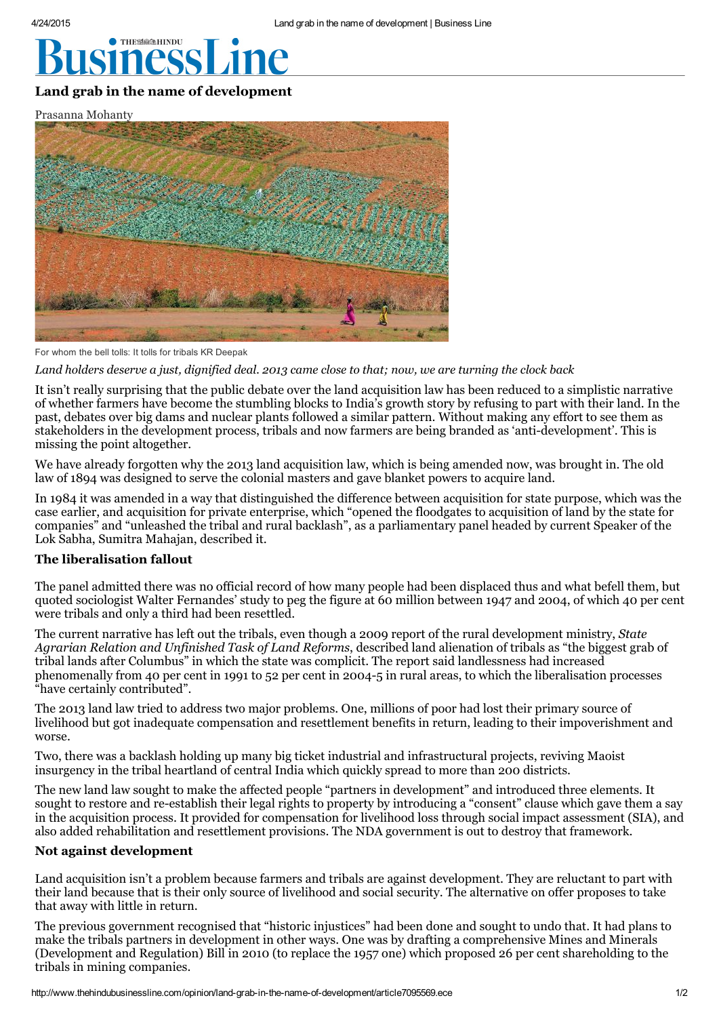# **THESSEEHINDU**

# Land grab in the name of [development](http://www.googleadservices.com/pagead/aclk?sa=L&ai=C98g5RTA6VevlHYyqoAPi94HoDv6vh-AG1qD4jeEBwI23ARABIPCCzyJg5bLlg6wOoAGikIfcA8gBA6kC5I8edjLsUD6oAwHIA8EEqgTVAU_QyeHFCe0ss2tSBWgMLo4gNWfoA3-ekTdyEJIDDWLvHWYpBrSV8CycshNd59Ek5PrKbEx3FvB6slUnKSl23QuhLx1qkqNjkRvLdmK9aefH50vNAKRdqBdsfS_7KHNHNFn6w5sxoqENOXsE7yjHLiIKZBAL1gjp75SrDSyriJRHrTf1E2FjDOecjuSV5xDervqN7VOqorH9Y2l2Bl1SvJzsC9eu-CsBc0NfzE2JdVLjxUuLh5FKN3tFnbyIJg6yLV5H8ZBqsZB61RzTnalymnHR8iyOiIgGAaAGA4AHxu_4I9gHAQ&num=1&cid=5Gjf1wjXGX_QRV8Wm9ynMVm3&sig=AOD64_0aLm9_lXZWSkruuyDKzh9Q7oCS_g&client=ca-pub-4662255021446444&adurl=http://www.portea.com/contact/92/%3Fterm1%3DKnee%2520Pain%2520Treatment%26term2%3Dphysiotherapy%26term3%3Dphysiotherapist%26matchtype%3D%26network%3Dd%26device%3Dc%26devicemodel%3D%26creative%3D60353099918%26keyword%3Dhealth%2520insurance%26placement%3Dwww.thehindubusinessline.com%26target%3D%26aceid%3D%26adposition%3Dnone%26account%3DGoogle%26campaign%3DHealthcare_Display_Banners_Topic%26adgroup%3DHealth_Insurance_Display_Banners)

Prasanna Mohanty



For whom the bell tolls: It tolls for tribals KR Deepak

Land holders deserve a just, dignified deal. 2013 came close to that; now, we are turning the clock back

It isn't really surprising that the public debate over the land acquisition law has been reduced to a simplistic narrative of whether farmers have become the stumbling blocks to India's growth story by refusing to part with their land. In the past, debates over big dams and nuclear plants followed a similar pattern. Without making any effort to see them as stakeholders in the development process, tribals and now farmers are being branded as 'anti-development'. This is missing the point altogether.

We have already forgotten why the 2013 land acquisition law, which is being amended now, was brought in. The old law of 1894 was designed to serve the colonial masters and gave blanket powers to acquire land.

In 1984 it was amended in a way that distinguished the difference between acquisition for state purpose, which was the case earlier, and acquisition for private enterprise, which "opened the floodgates to acquisition of land by the state for companies" and "unleashed the tribal and rural backlash", as a parliamentary panel headed by current Speaker of the Lok Sabha, Sumitra Mahajan, described it.

## The liberalisation fallout

The panel admitted there was no official record of how many people had been displaced thus and what befell them, but quoted sociologist Walter Fernandes' study to peg the figure at 60 million between 1947 and 2004, of which 40 per cent were tribals and only a third had been resettled.

The current narrative has left out the tribals, even though a 2009 report of the rural development ministry, State Agrarian Relation and Unfinished Task of Land Reforms, described land alienation of tribals as "the biggest grab of tribal lands after Columbus" in which the state was complicit. The report said landlessness had increased phenomenally from 40 per cent in 1991 to 52 per cent in 2004-5 in rural areas, to which the liberalisation processes "have certainly contributed".

The 2013 land law tried to address two major problems. One, millions of poor had lost their primary source of livelihood but got inadequate compensation and resettlement benefits in return, leading to their impoverishment and worse.

Two, there was a backlash holding up many big ticket industrial and infrastructural projects, reviving Maoist insurgency in the tribal heartland of central India which quickly spread to more than 200 districts.

The new land law sought to make the affected people "partners in development" and introduced three elements. It sought to restore and re-establish their legal rights to property by introducing a "consent" clause which gave them a say in the acquisition process. It provided for compensation for livelihood loss through social impact assessment (SIA), and also added rehabilitation and resettlement provisions. The NDA government is out to destroy that framework.

#### Not against development

Land acquisition isn't a problem because farmers and tribals are against development. They are reluctant to part with their land because that is their only source of livelihood and social security. The alternative on offer proposes to take that away with little in return.

The previous government recognised that "historic injustices" had been done and sought to undo that. It had plans to make the tribals partners in development in other ways. One was by drafting a comprehensive Mines and Minerals (Development and Regulation) Bill in 2010 (to replace the 1957 one) which proposed 26 per cent shareholding to the tribals in mining companies.